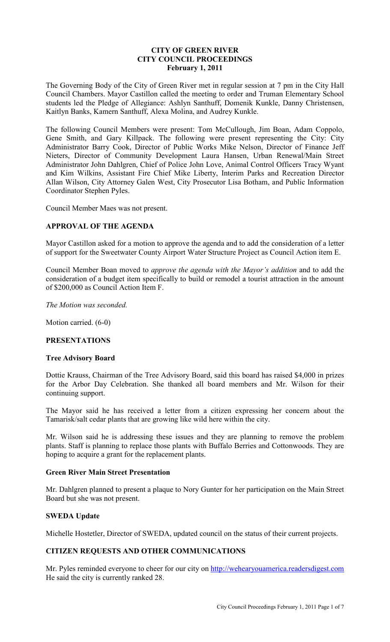## **CITY OF GREEN RIVER CITY COUNCIL PROCEEDINGS February 1, 2011**

The Governing Body of the City of Green River met in regular session at 7 pm in the City Hall Council Chambers. Mayor Castillon called the meeting to order and Truman Elementary School students led the Pledge of Allegiance: Ashlyn Santhuff, Domenik Kunkle, Danny Christensen, Kaitlyn Banks, Kamern Santhuff, Alexa Molina, and Audrey Kunkle.

The following Council Members were present: Tom McCullough, Jim Boan, Adam Coppolo, Gene Smith, and Gary Killpack. The following were present representing the City: City Administrator Barry Cook, Director of Public Works Mike Nelson, Director of Finance Jeff Nieters, Director of Community Development Laura Hansen, Urban Renewal/Main Street Administrator John Dahlgren, Chief of Police John Love, Animal Control Officers Tracy Wyant and Kim Wilkins, Assistant Fire Chief Mike Liberty, Interim Parks and Recreation Director Allan Wilson, City Attorney Galen West, City Prosecutor Lisa Botham, and Public Information Coordinator Stephen Pyles.

Council Member Maes was not present.

## **APPROVAL OF THE AGENDA**

Mayor Castillon asked for a motion to approve the agenda and to add the consideration of a letter of support for the Sweetwater County Airport Water Structure Project as Council Action item E.

Council Member Boan moved to *approve the agenda with the Mayor's addition* and to add the consideration of a budget item specifically to build or remodel a tourist attraction in the amount of \$200,000 as Council Action Item F.

*The Motion was seconded.* 

Motion carried. (6-0)

## **PRESENTATIONS**

#### **Tree Advisory Board**

Dottie Krauss, Chairman of the Tree Advisory Board, said this board has raised \$4,000 in prizes for the Arbor Day Celebration. She thanked all board members and Mr. Wilson for their continuing support.

The Mayor said he has received a letter from a citizen expressing her concern about the Tamarisk/salt cedar plants that are growing like wild here within the city.

Mr. Wilson said he is addressing these issues and they are planning to remove the problem plants. Staff is planning to replace those plants with Buffalo Berries and Cottonwoods. They are hoping to acquire a grant for the replacement plants.

#### **Green River Main Street Presentation**

Mr. Dahlgren planned to present a plaque to Nory Gunter for her participation on the Main Street Board but she was not present.

## **SWEDA Update**

Michelle Hostetler, Director of SWEDA, updated council on the status of their current projects.

## **CITIZEN REQUESTS AND OTHER COMMUNICATIONS**

Mr. Pyles reminded everyone to cheer for our city on http://wehearyouamerica.readersdigest.com He said the city is currently ranked 28.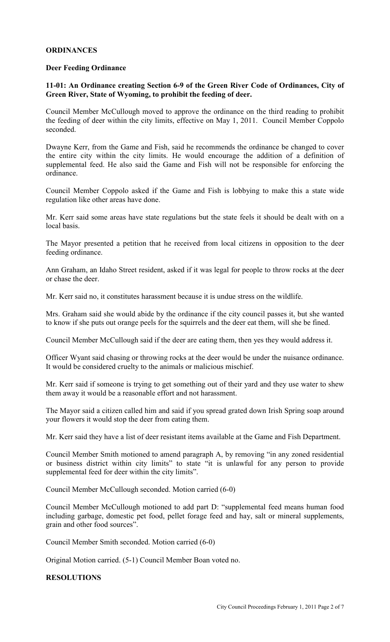## **ORDINANCES**

### **Deer Feeding Ordinance**

## **11-01: An Ordinance creating Section 6-9 of the Green River Code of Ordinances, City of Green River, State of Wyoming, to prohibit the feeding of deer.**

Council Member McCullough moved to approve the ordinance on the third reading to prohibit the feeding of deer within the city limits, effective on May 1, 2011. Council Member Coppolo seconded.

Dwayne Kerr, from the Game and Fish, said he recommends the ordinance be changed to cover the entire city within the city limits. He would encourage the addition of a definition of supplemental feed. He also said the Game and Fish will not be responsible for enforcing the ordinance.

Council Member Coppolo asked if the Game and Fish is lobbying to make this a state wide regulation like other areas have done.

Mr. Kerr said some areas have state regulations but the state feels it should be dealt with on a local basis.

The Mayor presented a petition that he received from local citizens in opposition to the deer feeding ordinance.

Ann Graham, an Idaho Street resident, asked if it was legal for people to throw rocks at the deer or chase the deer.

Mr. Kerr said no, it constitutes harassment because it is undue stress on the wildlife.

Mrs. Graham said she would abide by the ordinance if the city council passes it, but she wanted to know if she puts out orange peels for the squirrels and the deer eat them, will she be fined.

Council Member McCullough said if the deer are eating them, then yes they would address it.

Officer Wyant said chasing or throwing rocks at the deer would be under the nuisance ordinance. It would be considered cruelty to the animals or malicious mischief.

Mr. Kerr said if someone is trying to get something out of their yard and they use water to shew them away it would be a reasonable effort and not harassment.

The Mayor said a citizen called him and said if you spread grated down Irish Spring soap around your flowers it would stop the deer from eating them.

Mr. Kerr said they have a list of deer resistant items available at the Game and Fish Department.

Council Member Smith motioned to amend paragraph A, by removing "in any zoned residential or business district within city limits" to state "it is unlawful for any person to provide supplemental feed for deer within the city limits".

Council Member McCullough seconded. Motion carried (6-0)

Council Member McCullough motioned to add part D: "supplemental feed means human food including garbage, domestic pet food, pellet forage feed and hay, salt or mineral supplements, grain and other food sources".

Council Member Smith seconded. Motion carried (6-0)

Original Motion carried. (5-1) Council Member Boan voted no.

# **RESOLUTIONS**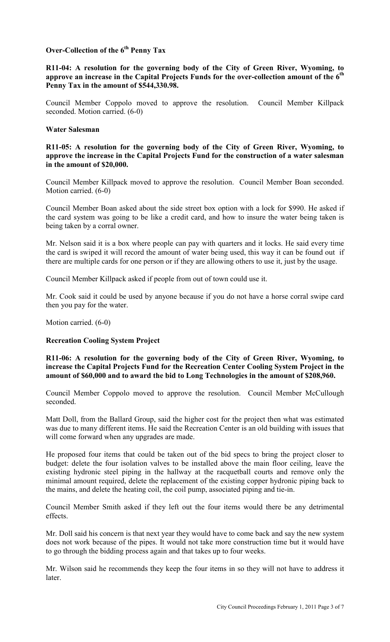# **Over-Collection of the 6th Penny Tax**

### **R11-04: A resolution for the governing body of the City of Green River, Wyoming, to approve an increase in the Capital Projects Funds for the over-collection amount of the 6th Penny Tax in the amount of \$544,330.98.**

Council Member Coppolo moved to approve the resolution. Council Member Killpack seconded. Motion carried. (6-0)

### **Water Salesman**

**R11-05: A resolution for the governing body of the City of Green River, Wyoming, to approve the increase in the Capital Projects Fund for the construction of a water salesman in the amount of \$20,000.**

Council Member Killpack moved to approve the resolution. Council Member Boan seconded. Motion carried. (6-0)

Council Member Boan asked about the side street box option with a lock for \$990. He asked if the card system was going to be like a credit card, and how to insure the water being taken is being taken by a corral owner.

Mr. Nelson said it is a box where people can pay with quarters and it locks. He said every time the card is swiped it will record the amount of water being used, this way it can be found out if there are multiple cards for one person or if they are allowing others to use it, just by the usage.

Council Member Killpack asked if people from out of town could use it.

Mr. Cook said it could be used by anyone because if you do not have a horse corral swipe card then you pay for the water.

Motion carried. (6-0)

## **Recreation Cooling System Project**

**R11-06: A resolution for the governing body of the City of Green River, Wyoming, to increase the Capital Projects Fund for the Recreation Center Cooling System Project in the amount of \$60,000 and to award the bid to Long Technologies in the amount of \$208,960.**

Council Member Coppolo moved to approve the resolution. Council Member McCullough seconded.

Matt Doll, from the Ballard Group, said the higher cost for the project then what was estimated was due to many different items. He said the Recreation Center is an old building with issues that will come forward when any upgrades are made.

He proposed four items that could be taken out of the bid specs to bring the project closer to budget: delete the four isolation valves to be installed above the main floor ceiling, leave the existing hydronic steel piping in the hallway at the racquetball courts and remove only the minimal amount required, delete the replacement of the existing copper hydronic piping back to the mains, and delete the heating coil, the coil pump, associated piping and tie-in.

Council Member Smith asked if they left out the four items would there be any detrimental effects.

Mr. Doll said his concern is that next year they would have to come back and say the new system does not work because of the pipes. It would not take more construction time but it would have to go through the bidding process again and that takes up to four weeks.

Mr. Wilson said he recommends they keep the four items in so they will not have to address it later.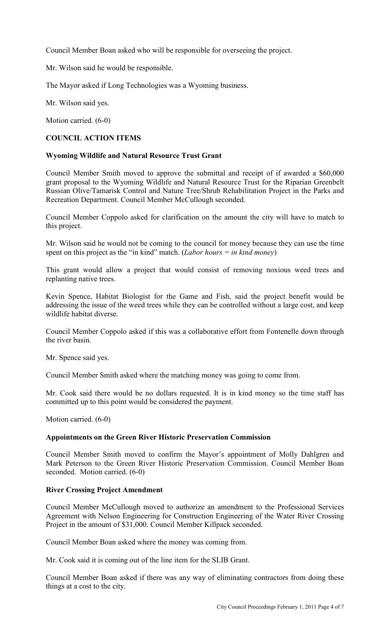Council Member Boan asked who will be responsible for overseeing the project.

Mr. Wilson said he would be responsible.

The Mayor asked if Long Technologies was a Wyoming business.

Mr. Wilson said yes.

Motion carried. (6-0)

# **COUNCIL ACTION ITEMS**

### **Wyoming Wildlife and Natural Resource Trust Grant**

Council Member Smith moved to approve the submittal and receipt of if awarded a \$60,000 grant proposal to the Wyoming Wildlife and Natural Resource Trust for the Riparian Greenbelt Russian Olive/Tamarisk Control and Nature Tree/Shrub Rehabilitation Project in the Parks and Recreation Department. Council Member McCullough seconded.

Council Member Coppolo asked for clarification on the amount the city will have to match to this project.

Mr. Wilson said he would not be coming to the council for money because they can use the time spent on this project as the "in kind" match. (*Labor hours = in kind money*)

This grant would allow a project that would consist of removing noxious weed trees and replanting native trees.

Kevin Spence, Habitat Biologist for the Game and Fish, said the project benefit would be addressing the issue of the weed trees while they can be controlled without a large cost, and keep wildlife habitat diverse.

Council Member Coppolo asked if this was a collaborative effort from Fontenelle down through the river basin.

Mr. Spence said yes.

Council Member Smith asked where the matching money was going to come from.

Mr. Cook said there would be no dollars requested. It is in kind money so the time staff has committed up to this point would be considered the payment.

Motion carried. (6-0)

## **Appointments on the Green River Historic Preservation Commission**

Council Member Smith moved to confirm the Mayor's appointment of Molly Dahlgren and Mark Peterson to the Green River Historic Preservation Commission. Council Member Boan seconded. Motion carried. (6-0)

## **River Crossing Project Amendment**

Council Member McCullough moved to authorize an amendment to the Professional Services Agreement with Nelson Engineering for Construction Engineering of the Water River Crossing Project in the amount of \$31,000. Council Member Killpack seconded.

Council Member Boan asked where the money was coming from.

Mr. Cook said it is coming out of the line item for the SLIB Grant.

Council Member Boan asked if there was any way of eliminating contractors from doing these things at a cost to the city.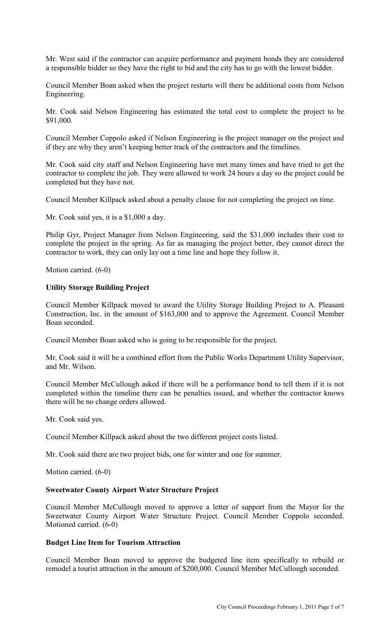Mr. West said if the contractor can acquire performance and payment bonds they are considered a responsible bidder so they have the right to bid and the city has to go with the lowest bidder.

Council Member Boan asked when the project restarts will there be additional costs from Nelson Engineering.

Mr. Cook said Nelson Engineering has estimated the total cost to complete the project to be \$91,000.

Council Member Coppolo asked if Nelson Engineering is the project manager on the project and if they are why they aren't keeping better track of the contractors and the timelines.

Mr. Cook said city staff and Nelson Engineering have met many times and have tried to get the contractor to complete the job. They were allowed to work 24 hours a day so the project could be completed but they have not.

Council Member Killpack asked about a penalty clause for not completing the project on time.

Mr. Cook said yes, it is a \$1,000 a day.

Philip Gyr, Project Manager from Nelson Engineering, said the \$31,000 includes their cost to complete the project in the spring. As far as managing the project better, they cannot direct the contractor to work, they can only lay out a time line and hope they follow it.

Motion carried. (6-0)

#### **Utility Storage Building Project**

Council Member Killpack moved to award the Utility Storage Building Project to A. Pleasant Construction, Inc. in the amount of \$163,000 and to approve the Agreement. Council Member Boan seconded.

Council Member Boan asked who is going to be responsible for the project.

Mr. Cook said it will be a combined effort from the Public Works Department Utility Supervisor, and Mr. Wilson.

Council Member McCullough asked if there will be a performance bond to tell them if it is not completed within the timeline there can be penalties issued, and whether the contractor knows there will be no change orders allowed.

Mr. Cook said yes.

Council Member Killpack asked about the two different project costs listed.

Mr. Cook said there are two project bids, one for winter and one for summer.

Motion carried. (6-0)

#### **Sweetwater County Airport Water Structure Project**

Council Member McCullough moved to approve a letter of support from the Mayor for the Sweetwater County Airport Water Structure Project. Council Member Coppolo seconded. Motioned carried. (6-0)

### **Budget Line Item for Tourism Attraction**

Council Member Boan moved to approve the budgeted line item specifically to rebuild or remodel a tourist attraction in the amount of \$200,000. Council Member McCullough seconded.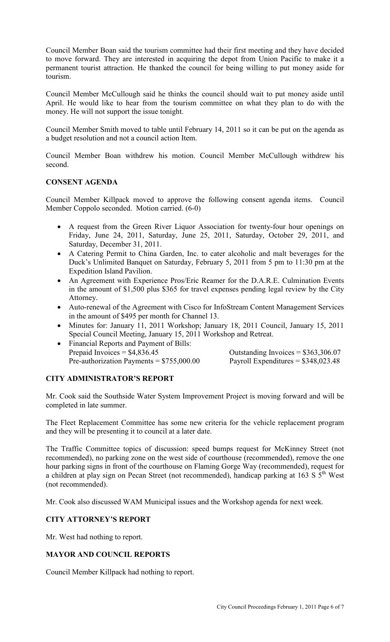Council Member Boan said the tourism committee had their first meeting and they have decided to move forward. They are interested in acquiring the depot from Union Pacific to make it a permanent tourist attraction. He thanked the council for being willing to put money aside for tourism.

Council Member McCullough said he thinks the council should wait to put money aside until April. He would like to hear from the tourism committee on what they plan to do with the money. He will not support the issue tonight.

Council Member Smith moved to table until February 14, 2011 so it can be put on the agenda as a budget resolution and not a council action Item.

Council Member Boan withdrew his motion. Council Member McCullough withdrew his second.

## **CONSENT AGENDA**

Council Member Killpack moved to approve the following consent agenda items. Council Member Coppolo seconded. Motion carried. (6-0)

- A request from the Green River Liquor Association for twenty-four hour openings on Friday, June 24, 2011, Saturday, June 25, 2011, Saturday, October 29, 2011, and Saturday, December 31, 2011.
- A Catering Permit to China Garden, Inc. to cater alcoholic and malt beverages for the Duck's Unlimited Banquet on Saturday, February 5, 2011 from 5 pm to 11:30 pm at the Expedition Island Pavilion.
- An Agreement with Experience Pros/Eric Reamer for the D.A.R.E. Culmination Events in the amount of \$1,500 plus \$365 for travel expenses pending legal review by the City Attorney.
- Auto-renewal of the Agreement with Cisco for InfoStream Content Management Services in the amount of \$495 per month for Channel 13.
- Minutes for: January 11, 2011 Workshop; January 18, 2011 Council, January 15, 2011 Special Council Meeting, January 15, 2011 Workshop and Retreat.
- Financial Reports and Payment of Bills: Prepaid Invoices =  $$4,836.45$  Outstanding Invoices =  $$363,306.07$ Pre-authorization Payments =  $$755,000.00$  Payroll Expenditures =  $$348,023.48$

## **CITY ADMINISTRATOR'S REPORT**

Mr. Cook said the Southside Water System Improvement Project is moving forward and will be completed in late summer.

The Fleet Replacement Committee has some new criteria for the vehicle replacement program and they will be presenting it to council at a later date.

The Traffic Committee topics of discussion: speed bumps request for McKinney Street (not recommended), no parking zone on the west side of courthouse (recommended), remove the one hour parking signs in front of the courthouse on Flaming Gorge Way (recommended), request for a children at play sign on Pecan Street (not recommended), handicap parking at 163 S  $\bar{5}^{th}$  West (not recommended).

Mr. Cook also discussed WAM Municipal issues and the Workshop agenda for next week.

## **CITY ATTORNEY'S REPORT**

Mr. West had nothing to report.

## **MAYOR AND COUNCIL REPORTS**

Council Member Killpack had nothing to report.